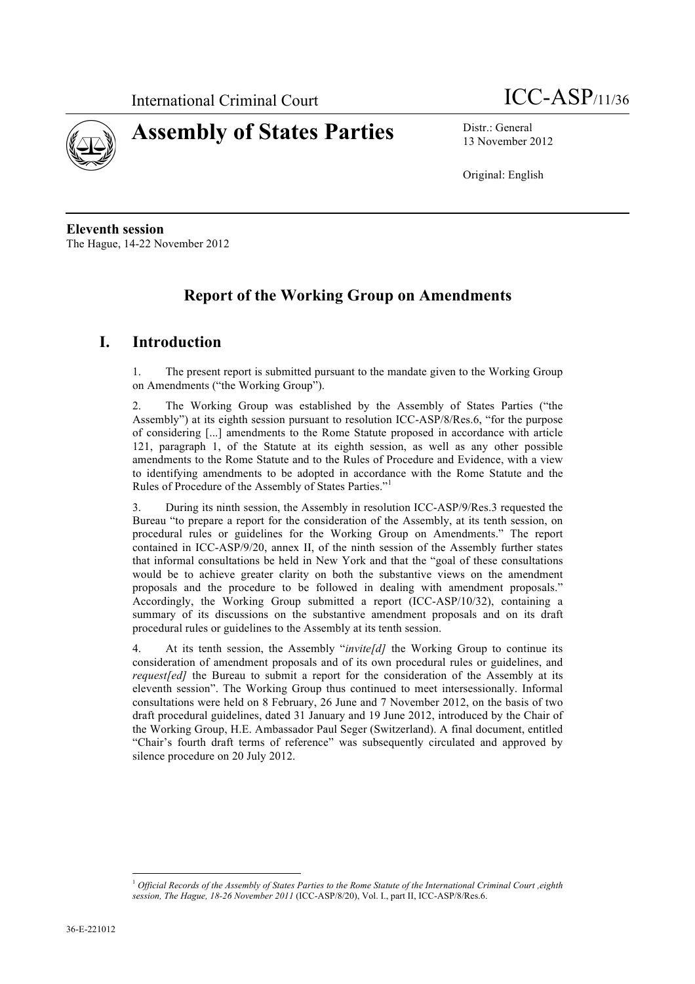



13 November 2012

Original: English

**Eleventh session** The Hague, 14-22 November 2012

# **Report of the Working Group on Amendments**

## **I. Introduction**

1. The present report is submitted pursuant to the mandate given to the Working Group on Amendments ("the Working Group").

2. The Working Group was established by the Assembly of States Parties ("the Assembly") at its eighth session pursuant to resolution ICC-ASP/8/Res.6, "for the purpose of considering [...] amendments to the Rome Statute proposed in accordance with article 121, paragraph 1, of the Statute at its eighth session, as well as any other possible amendments to the Rome Statute and to the Rules of Procedure and Evidence, with a view to identifying amendments to be adopted in accordance with the Rome Statute and the Rules of Procedure of the Assembly of States Parties."<sup>1</sup>

3. During its ninth session, the Assembly in resolution ICC-ASP/9/Res.3 requested the Bureau "to prepare a report for the consideration of the Assembly, at its tenth session, on procedural rules or guidelines for the Working Group on Amendments." The report contained in ICC-ASP/9/20, annex II, of the ninth session of the Assembly further states that informal consultations be held in New York and that the "goal of these consultations would be to achieve greater clarity on both the substantive views on the amendment proposals and the procedure to be followed in dealing with amendment proposals." Accordingly, the Working Group submitted a report (ICC-ASP/10/32), containing a summary of its discussions on the substantive amendment proposals and on its draft procedural rules or guidelines to the Assembly at its tenth session.

4. At its tenth session, the Assembly "*invite[d]* the Working Group to continue its consideration of amendment proposals and of its own procedural rules or guidelines, and *request[ed]* the Bureau to submit a report for the consideration of the Assembly at its eleventh session". The Working Group thus continued to meet intersessionally. Informal consultations were held on 8 February, 26 June and 7 November 2012, on the basis of two draft procedural guidelines, dated 31 January and 19 June 2012, introduced by the Chair of the Working Group, H.E. Ambassador Paul Seger (Switzerland). A final document, entitled "Chair's fourth draft terms of reference" was subsequently circulated and approved by silence procedure on 20 July 2012.

l

<sup>1</sup> *Official Records of the Assembly of States Parties to the Rome Statute of the International Criminal Court ,eighth session, The Hague, 18-26 November 2011* (ICC-ASP/8/20), Vol. I., part II, ICC-ASP/8/Res.6.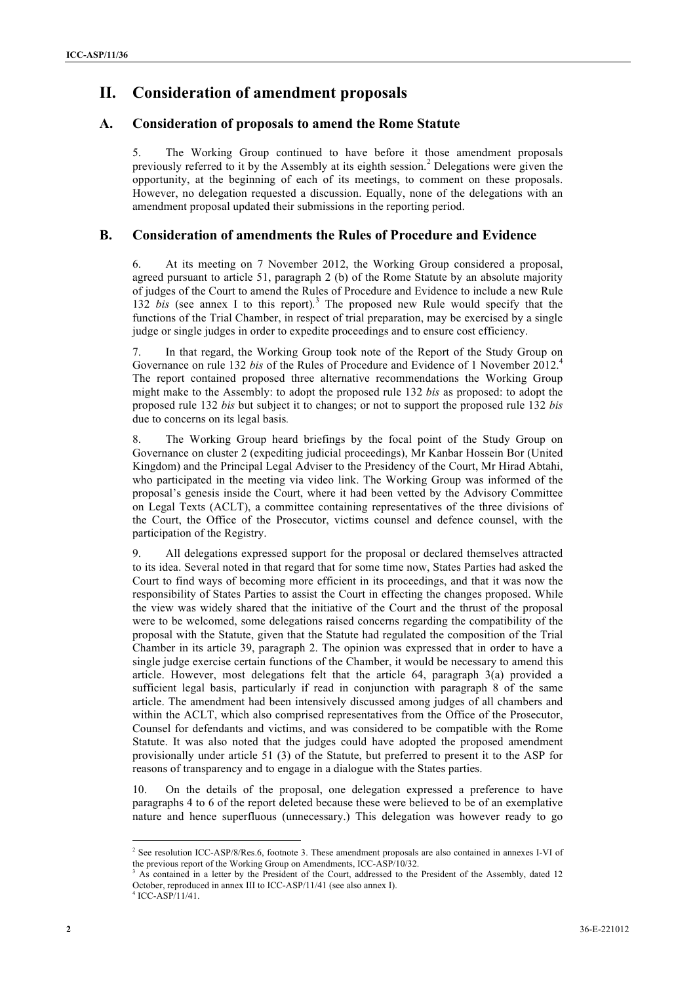## **II. Consideration of amendment proposals**

#### **A. Consideration of proposals to amend the Rome Statute**

5. The Working Group continued to have before it those amendment proposals previously referred to it by the Assembly at its eighth session.<sup>2</sup> Delegations were given the opportunity, at the beginning of each of its meetings, to comment on these proposals. However, no delegation requested a discussion. Equally, none of the delegations with an amendment proposal updated their submissions in the reporting period.

#### **B. Consideration of amendments the Rules of Procedure and Evidence**

6. At its meeting on 7 November 2012, the Working Group considered a proposal, agreed pursuant to article 51, paragraph 2 (b) of the Rome Statute by an absolute majority of judges of the Court to amend the Rules of Procedure and Evidence to include a new Rule 132 *bis* (see annex I to this report)*.* <sup>3</sup> The proposed new Rule would specify that the functions of the Trial Chamber, in respect of trial preparation, may be exercised by a single judge or single judges in order to expedite proceedings and to ensure cost efficiency.

7. In that regard, the Working Group took note of the Report of the Study Group on Governance on rule 132 *bis* of the Rules of Procedure and Evidence of 1 November 2012.4 The report contained proposed three alternative recommendations the Working Group might make to the Assembly: to adopt the proposed rule 132 *bis* as proposed: to adopt the proposed rule 132 *bis* but subject it to changes; or not to support the proposed rule 132 *bis* due to concerns on its legal basis*.*

8. The Working Group heard briefings by the focal point of the Study Group on Governance on cluster 2 (expediting judicial proceedings), Mr Kanbar Hossein Bor (United Kingdom) and the Principal Legal Adviser to the Presidency of the Court, Mr Hirad Abtahi, who participated in the meeting via video link. The Working Group was informed of the proposal's genesis inside the Court, where it had been vetted by the Advisory Committee on Legal Texts (ACLT), a committee containing representatives of the three divisions of the Court, the Office of the Prosecutor, victims counsel and defence counsel, with the participation of the Registry.

9. All delegations expressed support for the proposal or declared themselves attracted to its idea. Several noted in that regard that for some time now, States Parties had asked the Court to find ways of becoming more efficient in its proceedings, and that it was now the responsibility of States Parties to assist the Court in effecting the changes proposed. While the view was widely shared that the initiative of the Court and the thrust of the proposal were to be welcomed, some delegations raised concerns regarding the compatibility of the proposal with the Statute, given that the Statute had regulated the composition of the Trial Chamber in its article 39, paragraph 2. The opinion was expressed that in order to have a single judge exercise certain functions of the Chamber, it would be necessary to amend this article. However, most delegations felt that the article 64, paragraph 3(a) provided a sufficient legal basis, particularly if read in conjunction with paragraph 8 of the same article. The amendment had been intensively discussed among judges of all chambers and within the ACLT, which also comprised representatives from the Office of the Prosecutor, Counsel for defendants and victims, and was considered to be compatible with the Rome Statute. It was also noted that the judges could have adopted the proposed amendment provisionally under article 51 (3) of the Statute, but preferred to present it to the ASP for reasons of transparency and to engage in a dialogue with the States parties.

10. On the details of the proposal, one delegation expressed a preference to have paragraphs 4 to 6 of the report deleted because these were believed to be of an exemplative nature and hence superfluous (unnecessary.) This delegation was however ready to go

2 See resolution ICC-ASP/8/Res.6, footnote 3. These amendment proposals are also contained in annexes I-VI of the previous report of the Working Group on Amendments, ICC-ASP/10/32.

<sup>&</sup>lt;sup>3</sup> As contained in a letter by the President of the Court, addressed to the President of the Assembly, dated 12 October, reproduced in annex III to ICC-ASP/11/41 (see also annex I).

<sup>4</sup> ICC-ASP/11/41.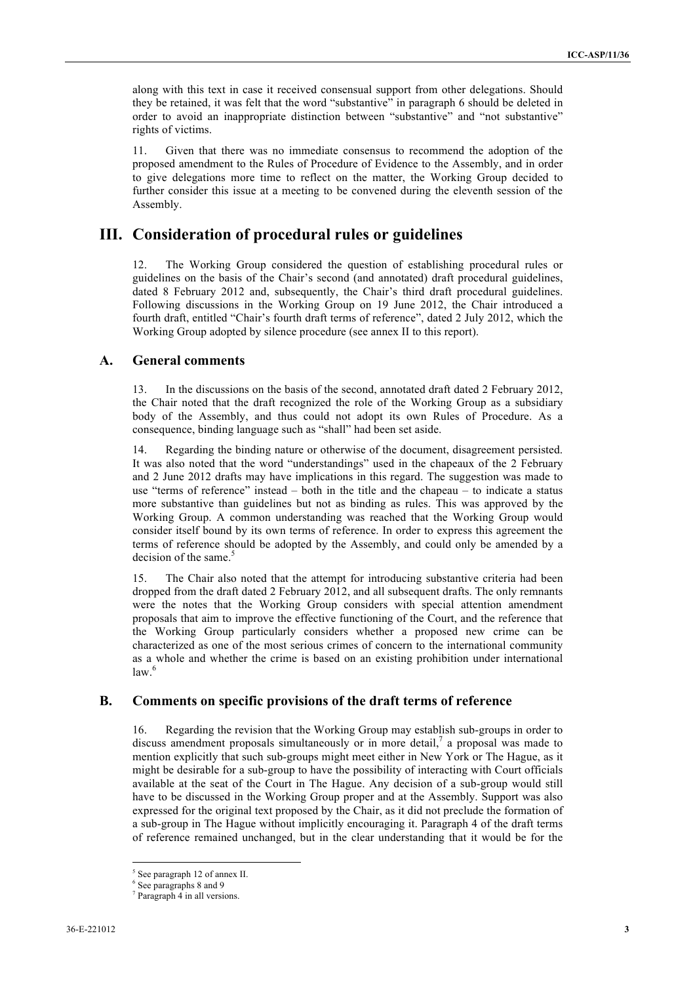along with this text in case it received consensual support from other delegations. Should they be retained, it was felt that the word "substantive" in paragraph 6 should be deleted in order to avoid an inappropriate distinction between "substantive" and "not substantive" rights of victims.

11. Given that there was no immediate consensus to recommend the adoption of the proposed amendment to the Rules of Procedure of Evidence to the Assembly, and in order to give delegations more time to reflect on the matter, the Working Group decided to further consider this issue at a meeting to be convened during the eleventh session of the Assembly.

### **III. Consideration of procedural rules or guidelines**

12. The Working Group considered the question of establishing procedural rules or guidelines on the basis of the Chair's second (and annotated) draft procedural guidelines, dated 8 February 2012 and, subsequently, the Chair's third draft procedural guidelines. Following discussions in the Working Group on 19 June 2012, the Chair introduced a fourth draft, entitled "Chair's fourth draft terms of reference", dated 2 July 2012, which the Working Group adopted by silence procedure (see annex II to this report).

#### **A. General comments**

13. In the discussions on the basis of the second, annotated draft dated 2 February 2012, the Chair noted that the draft recognized the role of the Working Group as a subsidiary body of the Assembly, and thus could not adopt its own Rules of Procedure. As a consequence, binding language such as "shall" had been set aside.

14. Regarding the binding nature or otherwise of the document, disagreement persisted. It was also noted that the word "understandings" used in the chapeaux of the 2 February and 2 June 2012 drafts may have implications in this regard. The suggestion was made to use "terms of reference" instead – both in the title and the chapeau – to indicate a status more substantive than guidelines but not as binding as rules. This was approved by the Working Group. A common understanding was reached that the Working Group would consider itself bound by its own terms of reference. In order to express this agreement the terms of reference should be adopted by the Assembly, and could only be amended by a decision of the same.<sup>5</sup>

15. The Chair also noted that the attempt for introducing substantive criteria had been dropped from the draft dated 2 February 2012, and all subsequent drafts. The only remnants were the notes that the Working Group considers with special attention amendment proposals that aim to improve the effective functioning of the Court, and the reference that the Working Group particularly considers whether a proposed new crime can be characterized as one of the most serious crimes of concern to the international community as a whole and whether the crime is based on an existing prohibition under international  $law.<sup>6</sup>$ 

#### **B. Comments on specific provisions of the draft terms of reference**

16. Regarding the revision that the Working Group may establish sub-groups in order to discuss amendment proposals simultaneously or in more detail, $^7$  a proposal was made to mention explicitly that such sub-groups might meet either in New York or The Hague, as it might be desirable for a sub-group to have the possibility of interacting with Court officials available at the seat of the Court in The Hague. Any decision of a sub-group would still have to be discussed in the Working Group proper and at the Assembly. Support was also expressed for the original text proposed by the Chair, as it did not preclude the formation of a sub-group in The Hague without implicitly encouraging it. Paragraph 4 of the draft terms of reference remained unchanged, but in the clear understanding that it would be for the

l

<sup>&</sup>lt;sup>5</sup> See paragraph 12 of annex II.

<sup>6</sup> See paragraphs 8 and 9

<sup>7</sup> Paragraph 4 in all versions.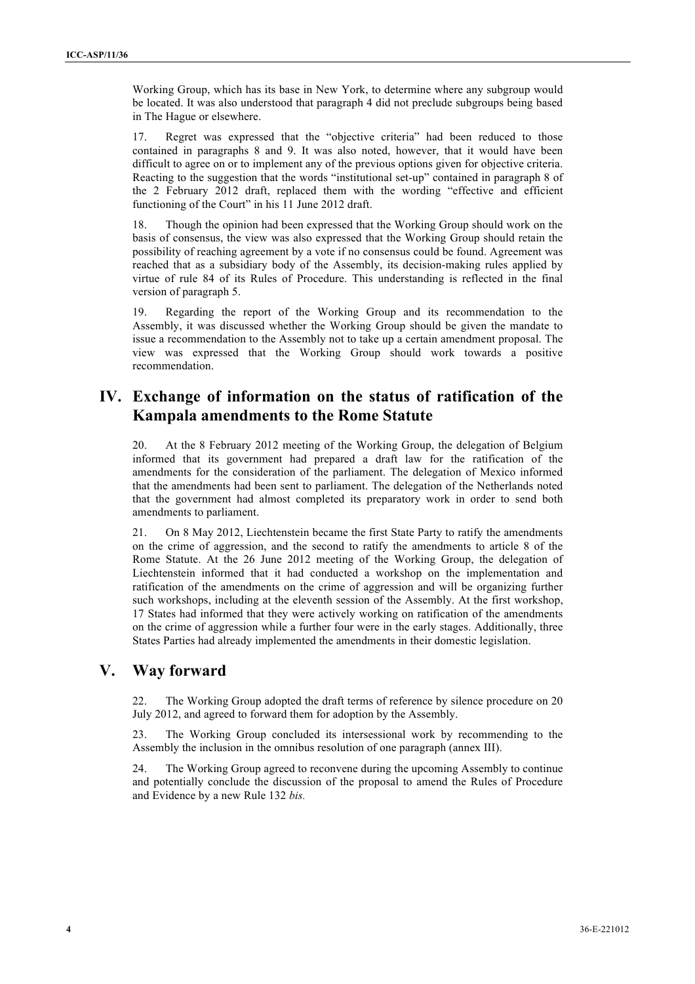Working Group, which has its base in New York, to determine where any subgroup would be located. It was also understood that paragraph 4 did not preclude subgroups being based in The Hague or elsewhere.

17. Regret was expressed that the "objective criteria" had been reduced to those contained in paragraphs 8 and 9. It was also noted, however, that it would have been difficult to agree on or to implement any of the previous options given for objective criteria. Reacting to the suggestion that the words "institutional set-up" contained in paragraph 8 of the 2 February 2012 draft, replaced them with the wording "effective and efficient functioning of the Court" in his 11 June 2012 draft.

18. Though the opinion had been expressed that the Working Group should work on the basis of consensus, the view was also expressed that the Working Group should retain the possibility of reaching agreement by a vote if no consensus could be found. Agreement was reached that as a subsidiary body of the Assembly, its decision-making rules applied by virtue of rule 84 of its Rules of Procedure. This understanding is reflected in the final version of paragraph 5.

19. Regarding the report of the Working Group and its recommendation to the Assembly, it was discussed whether the Working Group should be given the mandate to issue a recommendation to the Assembly not to take up a certain amendment proposal. The view was expressed that the Working Group should work towards a positive recommendation.

## **IV. Exchange of information on the status of ratification of the Kampala amendments to the Rome Statute**

20. At the 8 February 2012 meeting of the Working Group, the delegation of Belgium informed that its government had prepared a draft law for the ratification of the amendments for the consideration of the parliament. The delegation of Mexico informed that the amendments had been sent to parliament. The delegation of the Netherlands noted that the government had almost completed its preparatory work in order to send both amendments to parliament.

21. On 8 May 2012, Liechtenstein became the first State Party to ratify the amendments on the crime of aggression, and the second to ratify the amendments to article 8 of the Rome Statute. At the 26 June 2012 meeting of the Working Group, the delegation of Liechtenstein informed that it had conducted a workshop on the implementation and ratification of the amendments on the crime of aggression and will be organizing further such workshops, including at the eleventh session of the Assembly. At the first workshop, 17 States had informed that they were actively working on ratification of the amendments on the crime of aggression while a further four were in the early stages. Additionally, three States Parties had already implemented the amendments in their domestic legislation.

## **V. Way forward**

22. The Working Group adopted the draft terms of reference by silence procedure on 20 July 2012, and agreed to forward them for adoption by the Assembly.

23. The Working Group concluded its intersessional work by recommending to the Assembly the inclusion in the omnibus resolution of one paragraph (annex III).

24. The Working Group agreed to reconvene during the upcoming Assembly to continue and potentially conclude the discussion of the proposal to amend the Rules of Procedure and Evidence by a new Rule 132 *bis.*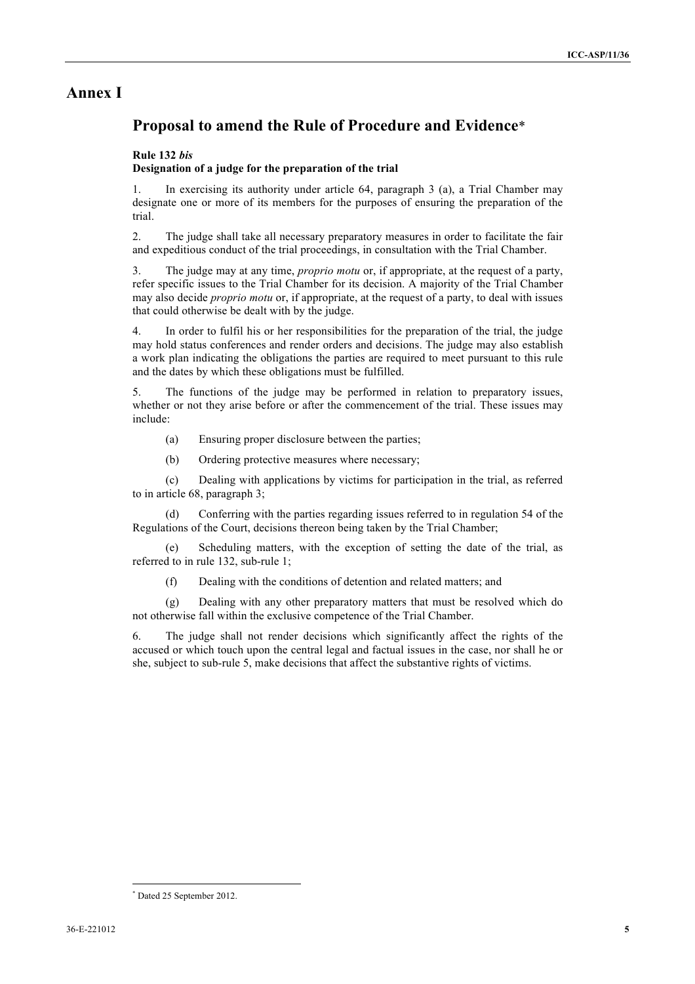### **Annex I**

## **Proposal to amend the Rule of Procedure and Evidence**\*

#### **Rule 132** *bis*

#### **Designation of a judge for the preparation of the trial**

1. In exercising its authority under article 64, paragraph 3 (a), a Trial Chamber may designate one or more of its members for the purposes of ensuring the preparation of the trial.

2. The judge shall take all necessary preparatory measures in order to facilitate the fair and expeditious conduct of the trial proceedings, in consultation with the Trial Chamber.

3. The judge may at any time, *proprio motu* or, if appropriate, at the request of a party, refer specific issues to the Trial Chamber for its decision. A majority of the Trial Chamber may also decide *proprio motu* or, if appropriate, at the request of a party, to deal with issues that could otherwise be dealt with by the judge.

4. In order to fulfil his or her responsibilities for the preparation of the trial, the judge may hold status conferences and render orders and decisions. The judge may also establish a work plan indicating the obligations the parties are required to meet pursuant to this rule and the dates by which these obligations must be fulfilled.

5. The functions of the judge may be performed in relation to preparatory issues, whether or not they arise before or after the commencement of the trial. These issues may include:

- (a) Ensuring proper disclosure between the parties;
- (b) Ordering protective measures where necessary;

(c) Dealing with applications by victims for participation in the trial, as referred to in article 68, paragraph 3;

(d) Conferring with the parties regarding issues referred to in regulation 54 of the Regulations of the Court, decisions thereon being taken by the Trial Chamber;

(e) Scheduling matters, with the exception of setting the date of the trial, as referred to in rule 132, sub-rule 1;

(f) Dealing with the conditions of detention and related matters; and

(g) Dealing with any other preparatory matters that must be resolved which do not otherwise fall within the exclusive competence of the Trial Chamber.

6. The judge shall not render decisions which significantly affect the rights of the accused or which touch upon the central legal and factual issues in the case, nor shall he or she, subject to sub-rule 5, make decisions that affect the substantive rights of victims.

l \* Dated 25 September 2012.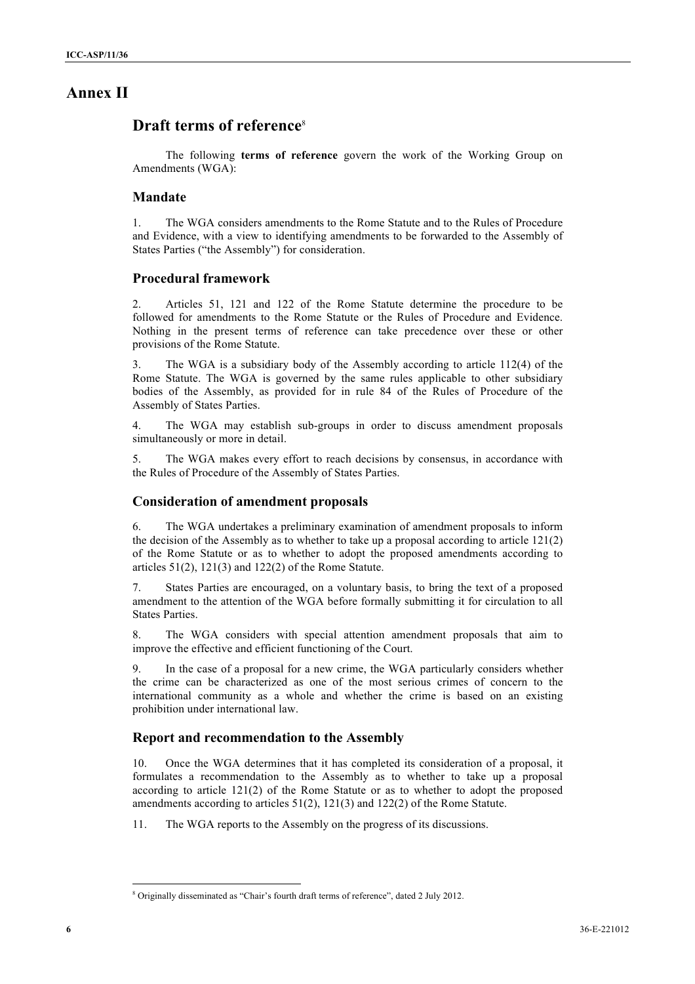## **Annex II**

### **Draft terms of reference**<sup>8</sup>

The following **terms of reference** govern the work of the Working Group on Amendments (WGA):

#### **Mandate**

1. The WGA considers amendments to the Rome Statute and to the Rules of Procedure and Evidence, with a view to identifying amendments to be forwarded to the Assembly of States Parties ("the Assembly") for consideration.

#### **Procedural framework**

2. Articles 51, 121 and 122 of the Rome Statute determine the procedure to be followed for amendments to the Rome Statute or the Rules of Procedure and Evidence. Nothing in the present terms of reference can take precedence over these or other provisions of the Rome Statute.

3. The WGA is a subsidiary body of the Assembly according to article 112(4) of the Rome Statute. The WGA is governed by the same rules applicable to other subsidiary bodies of the Assembly, as provided for in rule 84 of the Rules of Procedure of the Assembly of States Parties.

4. The WGA may establish sub-groups in order to discuss amendment proposals simultaneously or more in detail.

5. The WGA makes every effort to reach decisions by consensus, in accordance with the Rules of Procedure of the Assembly of States Parties.

#### **Consideration of amendment proposals**

6. The WGA undertakes a preliminary examination of amendment proposals to inform the decision of the Assembly as to whether to take up a proposal according to article  $121(2)$ of the Rome Statute or as to whether to adopt the proposed amendments according to articles  $51(2)$ ,  $121(3)$  and  $122(2)$  of the Rome Statute.

7. States Parties are encouraged, on a voluntary basis, to bring the text of a proposed amendment to the attention of the WGA before formally submitting it for circulation to all States Parties.

8. The WGA considers with special attention amendment proposals that aim to improve the effective and efficient functioning of the Court.

9. In the case of a proposal for a new crime, the WGA particularly considers whether the crime can be characterized as one of the most serious crimes of concern to the international community as a whole and whether the crime is based on an existing prohibition under international law.

#### **Report and recommendation to the Assembly**

10. Once the WGA determines that it has completed its consideration of a proposal, it formulates a recommendation to the Assembly as to whether to take up a proposal according to article 121(2) of the Rome Statute or as to whether to adopt the proposed amendments according to articles 51(2), 121(3) and 122(2) of the Rome Statute.

11. The WGA reports to the Assembly on the progress of its discussions.

l

<sup>8</sup> Originally disseminated as "Chair's fourth draft terms of reference", dated 2 July 2012.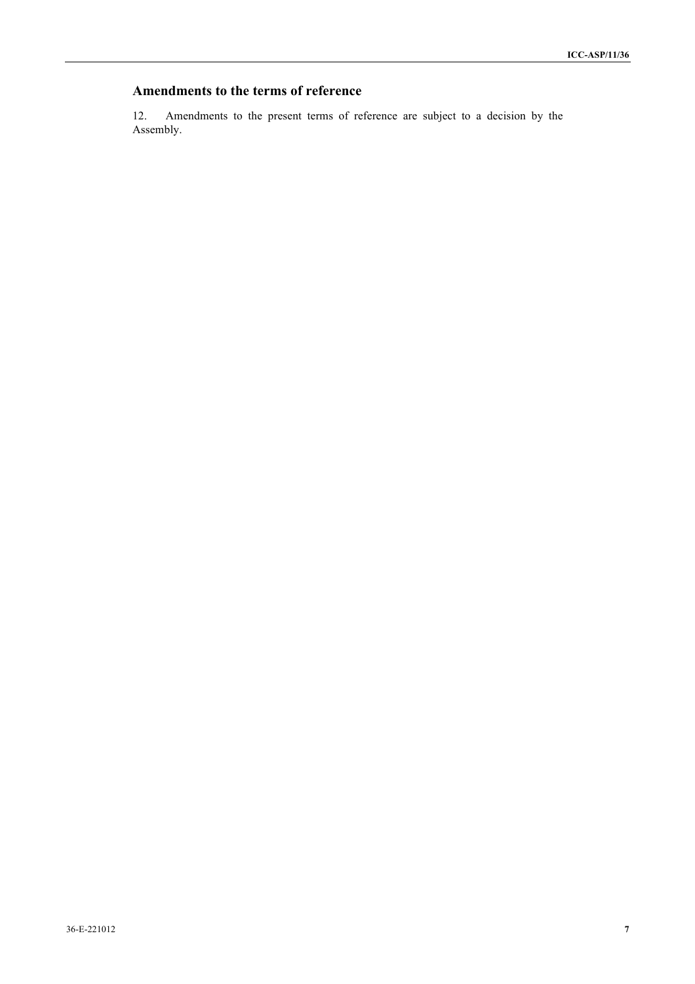### **Amendments to the terms of reference**

12. Amendments to the present terms of reference are subject to a decision by the Assembly.